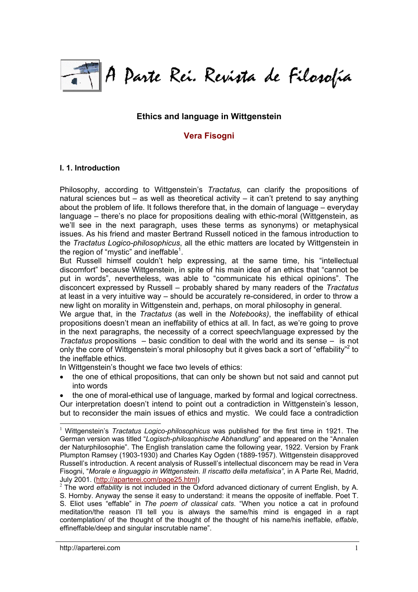

## **Ethics and language in Wittgenstein**

# **[Vera Fisogni](http://aparterei.com/fuks.html#Vera)**

#### **I. 1. Introduction**

Philosophy, according to Wittgenstein's *Tractatus,* can clarify the propositions of natural sciences but – as well as theoretical activity – it can't pretend to say anything about the problem of life. It follows therefore that, in the domain of language – everyday language – there's no place for propositions dealing with ethic-moral (Wittgenstein, as we'll see in the next paragraph, uses these terms as synonyms) or metaphysical issues. As his friend and master Bertrand Russell noticed in the famous introduction to the *Tractatus Logico-philosophicus*, all the ethic matters are located by Wittgenstein in the region of "mystic" and ineffable $1$ .

But Russell himself couldn't help expressing, at the same time, his "intellectual discomfort" because Wittgenstein, in spite of his main idea of an ethics that "cannot be put in words", nevertheless, was able to "communicate his ethical opinions". The disconcert expressed by Russell – probably shared by many readers of the *Tractatus* at least in a very intuitive way – should be accurately re-considered, in order to throw a new light on morality in Wittgenstein and, perhaps, on moral philosophy in general.

We argue that, in the *Tractatus* (as well in the *Notebooks)*, the ineffability of ethical propositions doesn't mean an ineffability of ethics at all. In fact, as we're going to prove in the next paragraphs, the necessity of a correct speech/language expressed by the *Tractatus* propositions – basic condition to deal with the world and its sense – is not only the core of Wittgenstein's moral philosophy but it gives back a sort of "effability"<sup>2</sup> to the ineffable ethics.

In Wittgenstein's thought we face two levels of ethics:

• the one of ethical propositions, that can only be shown but not said and cannot put into words

• the one of moral-ethical use of language, marked by formal and logical correctness. Our interpretation doesn't intend to point out a contradiction in Wittgenstein's lesson, but to reconsider the main issues of ethics and mystic. We could face a contradiction

l <sup>1</sup> Wittgenstein's *Tractatus Logico-philosophicus* was published for the first time in 1921. The German version was titled "*Logisch-philosophische Abhandlung*" and appeared on the "Annalen der Naturphilosophie". The English translation came the following year, 1922. Version by Frank Plumpton Ramsey (1903-1930) and Charles Kay Ogden (1889-1957). Wittgenstein disapproved Russell's introduction. A recent analysis of Russell's intellectual disconcern may be read in Vera Fisogni, "*Morale e linguaggio in Wittgenstein. Il riscatto della metafisica"*, in A Parte Rei, Madrid, July 2001. ([http://aparterei.com/page25.html\)](http://aparterei.com/page25.html) <sup>2</sup> The word *effability* is not included in the Oxford advanced dictionary of current English, by A.

S. Hornby. Anyway the sense it easy to understand: it means the opposite of ineffable. Poet T. S. Eliot uses "effable" in *The poem of classical cats*. "When you notice a cat in profound meditation/the reason I'll tell you is always the same/his mind is engaged in a rapt contemplation/ of the thought of the thought of the thought of his name/his ineffable, *effable*, effineffable/deep and singular inscrutable name".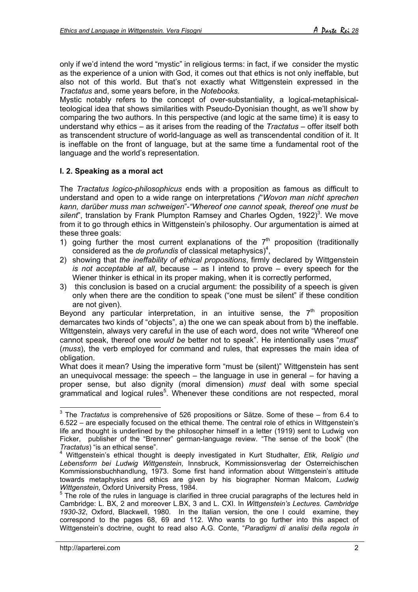only if we'd intend the word "mystic" in religious terms: in fact, if we consider the mystic as the experience of a union with God, it comes out that ethics is not only ineffable, but also not of this world. But that's not exactly what Wittgenstein expressed in the *Tractatus* and, some years before, in the *Notebooks.*

Mystic notably refers to the concept of over-substantiality, a logical-metaphisicalteological idea that shows similarities with Pseudo-Dyonisian thought, as we'll show by comparing the two authors. In this perspective (and logic at the same time) it is easy to understand why ethics – as it arises from the reading of the *Tractatus* – offer itself both as transcendent structure of world-language as well as transcendental condition of it. It is ineffable on the front of language, but at the same time a fundamental root of the language and the world's representation.

## **I. 2. Speaking as a moral act**

The *Tractatus logico-philosophicus* ends with a proposition as famous as difficult to understand and open to a wide range on interpretations *(*"*Wovon man nicht sprechen kann, darüber muss man schweigen*"-*"Whereof one cannot speak, thereof one must be* silent", translation by Frank Plumpton Ramsey and Charles Ogden, 1922)<sup>3</sup>. We move from it to go through ethics in Wittgenstein's philosophy. Our argumentation is aimed at these three goals:

- 1) going further the most current explanations of the  $7<sup>th</sup>$  proposition (traditionally considered as the *de profundis* of classical metaphysics)<sup>4</sup>,
- 2) showing that *the ineffability of ethical propositions*, firmly declared by Wittgenstein *is not acceptable at all*, because – as I intend to prove – every speech for the Wiener thinker is ethical in its proper making, when it is correctly performed,
- 3) this conclusion is based on a crucial argument: the possibility of a speech is given only when there are the condition to speak ("one must be silent" if these condition are not given).

Beyond any particular interpretation, in an intuitive sense, the  $7<sup>th</sup>$  proposition demarcates two kinds of "objects", a) the one we can speak about from b) the ineffable. Wittgenstein, always very careful in the use of each word, does not write "Whereof one cannot speak, thereof one *would be* better not to speak". He intentionally uses "*must*" (*muss*), the verb employed for command and rules, that expresses the main idea of obligation.

What does it mean? Using the imperative form "must be (silent)" Wittgenstein has sent an unequivocal message: the speech – the language in use in general – for having a proper sense, but also dignity (moral dimension) *must* deal with some special grammatical and logical rules<sup>5</sup>. Whenever these conditions are not respected, moral

 3 The *Tractatus* is comprehensive of 526 propositions or Sätze. Some of these – from 6.4 to 6.522 – are especially focused on the ethical theme. The central role of ethics in Wittgenstein's life and thought is underlined by the philosopher himself in a letter (1919) sent to Ludwig von Ficker, publisher of the "Brenner" german-language review. "The sense of the book" (the *Tractatus*) "is an ethical sense".<br><sup>4</sup> Wittonstatus

Wittgenstein's ethical thought is deeply investigated in Kurt Studhalter, *Etik, Religio und Lebensform bei Ludwig Wittgenstein*, Innsbruck, Kommissionsverlag der Osterreichischen Kommissionsbuchhandlung, 1973. Some first hand information about Wittgenstein's attitude towards metaphysics and ethics are given by his biographer Norman Malcom, *Ludwig*

*Wittgenstein*, Oxford University Press, 1984.<br><sup>5</sup> The role of the rules in language is clarified in three crucial paragraphs of the lectures held in Cambridge: L. BX, 2 and moreover L.BX, 3 and L. CXI. In *Wittgenstein's Lectures. Cambridge 1930-32*, Oxford, Blackwell, 1980. In the Italian version, the one I could examine, they correspond to the pages 68, 69 and 112. Who wants to go further into this aspect of Wittgenstein's doctrine, ought to read also A.G. Conte, "*Paradigmi di analisi della regola in*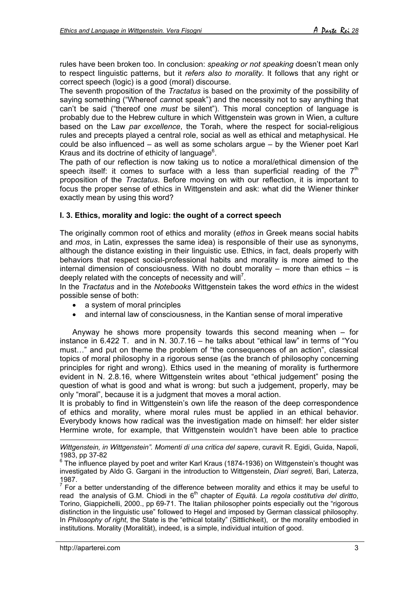rules have been broken too. In conclusion: *speaking or not speaking* doesn't mean only to respect linguistic patterns, but it *refers also to morality*. It follows that any right or correct speech (logic) is a good (moral) discourse.

The seventh proposition of the *Tractatus* is based on the proximity of the possibility of saying something ("Whereof *can*not speak") and the necessity not to say anything that can't be said ("thereof one *must* be silent"). This moral conception of language is probably due to the Hebrew culture in which Wittgenstein was grown in Wien, a culture based on the Law *par excellence*, the Torah, where the respect for social-religious rules and precepts played a central role, social as well as ethical and metaphysical. He could be also influenced – as well as some scholars argue – by the Wiener poet Karl Kraus and its doctrine of ethicity of language $6$ .

The path of our reflection is now taking us to notice a moral/ethical dimension of the speech itself: it comes to surface with a less than superficial reading of the  $7<sup>th</sup>$ proposition of the *Tractatus*. Before moving on with our reflection, it is important to focus the proper sense of ethics in Wittgenstein and ask: what did the Wiener thinker exactly mean by using this word?

## **I. 3. Ethics, morality and logic: the ought of a correct speech**

The originally common root of ethics and morality (*ethos* in Greek means social habits and *mos*, in Latin, expresses the same idea) is responsible of their use as synonyms, although the distance existing in their linguistic use. Ethics, in fact, deals properly with behaviors that respect social-professional habits and morality is more aimed to the internal dimension of consciousness. With no doubt morality – more than ethics – is deeply related with the concepts of necessity and will<sup>7</sup>.

In the *Tractatus* and in the *Notebooks* Wittgenstein takes the word *ethics* in the widest possible sense of both:

- a system of moral principles
- and internal law of consciousness, in the Kantian sense of moral imperative

Anyway he shows more propensity towards this second meaning when  $-$  for instance in 6.422 T. and in N. 30.7.16 – he talks about "ethical law" in terms of "You must…" and put on theme the problem of "the consequences of an action", classical topics of moral philosophy in a rigorous sense (as the branch of philosophy concerning principles for right and wrong). Ethics used in the meaning of morality is furthermore evident in N. 2.8.16, where Wittgenstein writes about "ethical judgement" posing the question of what is good and what is wrong: but such a judgement, properly, may be only "moral", because it is a judgment that moves a moral action.

It is probably to find in Wittgenstein's own life the reason of the deep correspondence of ethics and morality, where moral rules must be applied in an ethical behavior. Everybody knows how radical was the investigation made on himself: her elder sister Hermine wrote, for example, that Wittgenstein wouldn't have been able to practice

-*Wittgenstein, in Wittgenstein". Momenti di una critica del sapere*, curavit R. Egidi, Guida, Napoli, 1983, pp 37-82

 $^6$  The influence played by poet and writer Karl Kraus (1874-1936) on Wittgenstein's thought was investigated by Aldo G. Gargani in the introduction to Wittgenstein, *Diari segreti,* Bari, Laterza, 1987.

 $<sup>7</sup>$  For a better understanding of the difference between morality and ethics it may be useful to</sup> read the analysis of G.M. Chiodi in the 6<sup>th</sup> chapter of *Equità. La regola costitutiva del diritto*, Torino, Giappichelli, 2000., pp 69-71. The Italian philosopher points especially out the "rigorous distinction in the linguistic use" followed to Hegel and imposed by German classical philosophy. In *Philosophy of right*, the State is the "ethical totality" (Sittlichkeit), or the morality embodied in institutions. Morality (Moralität), indeed, is a simple, individual intuition of good.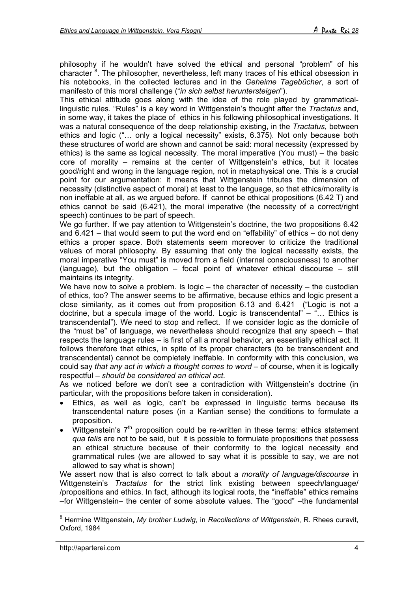philosophy if he wouldn't have solved the ethical and personal "problem" of his character <sup>8</sup>. The philosopher, nevertheless, left many traces of his ethical obsession in his notebooks, in the collected lectures and in the *Geheime Tagebücher*, a sort of manifesto of this moral challenge ("*in sich selbst heruntersteigen*").

This ethical attitude goes along with the idea of the role played by grammaticallinguistic rules. "Rules" is a key word in Wittgenstein's thought after the *Tractatus* and, in some way, it takes the place of ethics in his following philosophical investigations. It was a natural consequence of the deep relationship existing, in the *Tractatus*, between ethics and logic ("… only a logical necessity" exists, 6.375). Not only because both these structures of world are shown and cannot be said: moral necessity (expressed by ethics) is the same as logical necessity. The moral imperative (You must) – the basic core of morality – remains at the center of Wittgenstein's ethics, but it locates good/right and wrong in the language region, not in metaphysical one. This is a crucial point for our argumentation: it means that Wittgenstein tributes the dimension of necessity (distinctive aspect of moral) at least to the language, so that ethics/morality is non ineffable at all, as we argued before. If cannot be ethical propositions (6.42 T) and ethics cannot be said (6.421), the moral imperative (the necessity of a correct/right speech) continues to be part of speech.

We go further. If we pay attention to Wittgenstein's doctrine, the two propositions 6.42 and 6.421 – that would seem to put the word end on "effability" of ethics – do not deny ethics a proper space. Both statements seem moreover to criticize the traditional values of moral philosophy. By assuming that only the logical necessity exists, the moral imperative "You must" is moved from a field (internal consciousness) to another (language), but the obligation – focal point of whatever ethical discourse – still maintains its integrity.

We have now to solve a problem. Is logic – the character of necessity – the custodian of ethics, too? The answer seems to be affirmative, because ethics and logic present a close similarity, as it comes out from proposition 6.13 and 6.421 ("Logic is not a doctrine, but a specula image of the world. Logic is transcendental" – "… Ethics is transcendental"). We need to stop and reflect. If we consider logic as the domicile of the "must be" of language, we nevertheless should recognize that any speech – that respects the language rules – is first of all a moral behavior, an essentially ethical act. It follows therefore that ethics, in spite of its proper characters (to be transcendent and transcendental) cannot be completely ineffable. In conformity with this conclusion, we could say *that any act in which a thought comes to word* – of course, when it is logically respectful – *should be considered an ethical act*.

As we noticed before we don't see a contradiction with Wittgenstein's doctrine (in particular, with the propositions before taken in consideration).

- Ethics, as well as logic, can't be expressed in linguistic terms because its transcendental nature poses (in a Kantian sense) the conditions to formulate a proposition.
- Wittgenstein's  $7<sup>th</sup>$  proposition could be re-written in these terms: ethics statement *qua talis* are not to be said, but it is possible to formulate propositions that possess an ethical structure because of their conformity to the logical necessity and grammatical rules (we are allowed to say what it is possible to say, we are not allowed to say what is shown)

We assert now that is also correct to talk about a *morality of language/discourse* in Wittgenstein's *Tractatus* for the strict link existing between speech/language/ /propositions and ethics. In fact, although its logical roots, the "ineffable" ethics remains –for Wittgenstein– the center of some absolute values. The "good" –the fundamental

l 8 Hermine Wittgenstein, *My brother Ludwig*, in *Recollections of Wittgenstein*, R. Rhees curavit, Oxford, 1984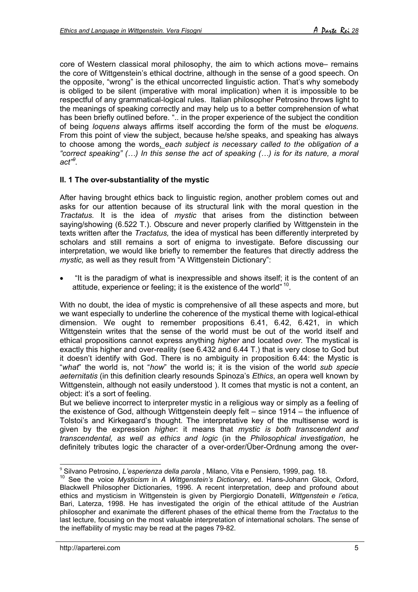core of Western classical moral philosophy, the aim to which actions move– remains the core of Wittgenstein's ethical doctrine, although in the sense of a good speech. On the opposite, "wrong" is the ethical uncorrected linguistic action. That's why somebody is obliged to be silent (imperative with moral implication) when it is impossible to be respectful of any grammatical-logical rules. Italian philosopher Petrosino throws light to the meanings of speaking correctly and may help us to a better comprehension of what has been briefly outlined before. ".. in the proper experience of the subject the condition of being *loquens* always affirms itself according the form of the must be *eloquens*. From this point of view the subject, because he/she speaks, and speaking has always to choose among the words, *each subject is necessary called to the obligation of a "correct speaking" (…) In this sense the act of speaking (…) is for its nature, a moral act"9 .*

## **II. 1 The over-substantiality of the mystic**

After having brought ethics back to linguistic region, another problem comes out and asks for our attention because of its structural link with the moral question in the *Tractatus.* It is the idea of *mystic* that arises from the distinction between saying/showing (6.522 T.). Obscure and never properly clarified by Wittgenstein in the texts written after the *Tractatus,* the idea of mystical has been differently interpreted by scholars and still remains a sort of enigma to investigate. Before discussing our interpretation, we would like briefly to remember the features that directly address the *mystic,* as well as they result from "A Wittgenstein Dictionary":

• "It is the paradigm of what is inexpressible and shows itself; it is the content of an attitude, experience or feeling; it is the existence of the world" <sup>10</sup>.

With no doubt, the idea of mystic is comprehensive of all these aspects and more, but we want especially to underline the coherence of the mystical theme with logical-ethical dimension. We ought to remember propositions 6.41, 6.42, 6.421, in which Wittgenstein writes that the sense of the world must be out of the world itself and ethical propositions cannot express anything *higher* and located *over.* The mystical is exactly this higher and over-reality (see 6.432 and 6.44 T.) that is very close to God but it doesn't identify with God. There is no ambiguity in proposition 6.44: the Mystic is "*what*" the world is, not "*how*" the world is; it is the vision of the world *sub specie aeternitatis* (in this definition clearly resounds Spinoza's *Ethics*, an opera well known by Wittgenstein, although not easily understood ). It comes that mystic is not a content, an object: it's a sort of feeling.

But we believe incorrect to interpreter mystic in a religious way or simply as a feeling of the existence of God, although Wittgenstein deeply felt – since 1914 – the influence of Tolstoi's and Kirkegaard's thought. The interpretative key of the multisense word is given by the expression *higher*: it means that *mystic is both transcendent and transcendental, as well as ethics and logic* (in the *Philosophical investigation*, he definitely tributes logic the character of a over-order/Über-Ordnung among the over-

l

<sup>&</sup>lt;sup>9</sup> Silvano Petrosino, *L'esperienza della parola*, Milano, Vita e Pensiero, 1999, pag. 18.<br><sup>10</sup> See the voice *Mysticism* in *A Wittgenstein's Dictionary*, ed. Hans-Johann Glock, Oxford, Blackwell Philosopher Dictionaries, 1996. A recent interpretation, deep and profound about ethics and mysticism in Wittgenstein is given by Piergiorgio Donatelli, *Wittgenstein e l'etica*, Bari, Laterza, 1998. He has investigated the origin of the ethical attitude of the Austrian philosopher and exanimate the different phases of the ethical theme from the *Tractatus* to the last lecture, focusing on the most valuable interpretation of international scholars. The sense of the ineffability of mystic may be read at the pages 79-82.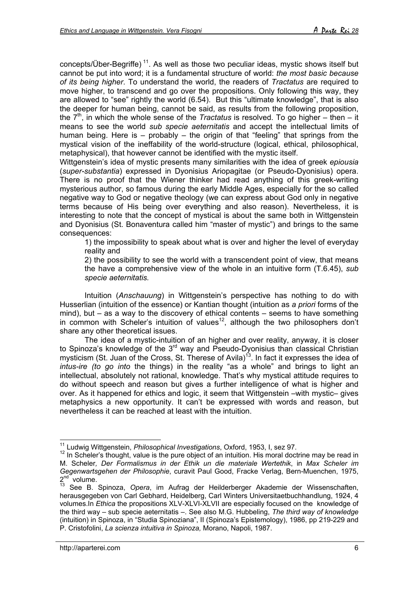concepts/Über-Begriffe) 11. As well as those two peculiar ideas, mystic shows itself but cannot be put into word; it is a fundamental structure of world: *the most basic because of its being higher*. To understand the world, the readers of *Tractatus* are required to move higher, to transcend and go over the propositions. Only following this way, they are allowed to "see" rightly the world (6.54). But this "ultimate knowledge", that is also the deeper for human being, cannot be said, as results from the following proposition, the  $7<sup>th</sup>$ , in which the whole sense of the *Tractatus* is resolved. To go higher – then – it means to see the world *sub specie aeternitatis* and accept the intellectual limits of human being. Here is – probably – the origin of that "feeling" that springs from the mystical vision of the ineffability of the world-structure (logical, ethical, philosophical, metaphysical), that however cannot be identified with the mystic itself.

Wittgenstein's idea of mystic presents many similarities with the idea of greek *epiousia* (*super-substantia*) expressed in Dyonisius Ariopagitae (or Pseudo-Dyonisius) opera. There is no proof that the Wiener thinker had read anything of this greek-writing mysterious author, so famous during the early Middle Ages, especially for the so called negative way to God or negative theology (we can express about God only in negative terms because of His being over everything and also reason). Nevertheless, it is interesting to note that the concept of mystical is about the same both in Wittgenstein and Dyonisius (St. Bonaventura called him "master of mystic") and brings to the same consequences:

1) the impossibility to speak about what is over and higher the level of everyday reality and

2) the possibility to see the world with a transcendent point of view, that means the have a comprehensive view of the whole in an intuitive form (T.6.45), *sub specie aeternitatis.*

Intuition (*Anschauung*) in Wittgenstein's perspective has nothing to do with Husserlian (intuition of the essence) or Kantian thought (intuition as *a priori* forms of the mind), but – as a way to the discovery of ethical contents – seems to have something in common with Scheler's intuition of values<sup>12</sup>, although the two philosophers don't share any other theoretical issues.

The idea of a mystic-intuition of an higher and over reality, anyway, it is closer to Spinoza's knowledge of the  $3<sup>rd</sup>$  way and Pseudo-Dyonisius than classical Christian mysticism (St. Juan of the Cross, St. Therese of Avila)<sup>13</sup>. In fact it expresses the idea of *intus-ire (to go into* the things) in the reality "as a whole" and brings to light an intellectual, absolutely not rational, knowledge. That's why mystical attitude requires to do without speech and reason but gives a further intelligence of what is higher and over. As it happened for ethics and logic, it seem that Wittgenstein –with mystic– gives metaphysics a new opportunity. It can't be expressed with words and reason, but nevertheless it can be reached at least with the intuition.

l

<sup>11</sup> Ludwig Wittgenstein, *Philosophical Investigations*, Oxford, 1953, I, sez 97.

 $12$  In Scheler's thought, value is the pure object of an intuition. His moral doctrine may be read in M. Scheler*, Der Formalismus in der Ethik un die materiale Wertethik*, in *Max Scheler im Gegenwartsgehen der Philosophie*, curavit Paul Good, Fracke Verlag, Bern-Muenchen, 1975,  $2^{nd}$  volume.

<sup>13</sup> See B. Spinoza, *Opera*, im Aufrag der Heilderberger Akademie der Wissenschaften, herausgegeben von Carl Gebhard, Heidelberg, Carl Winters Universitaetbuchhandlung, 1924, 4 volumes.In *Ethica* the propositions XLV-XLVI-XLVII are especially focused on the knowledge of the third way – sub specie aeternitatis –. See also M.G. Hubbeling, *The third way of knowledge* (intuition) in Spinoza, in "Studia Spinoziana", II (Spinoza's Epistemology), 1986, pp 219-229 and P. Cristofolini, *La scienza intuitiva in Spinoza,* Morano, Napoli, 1987.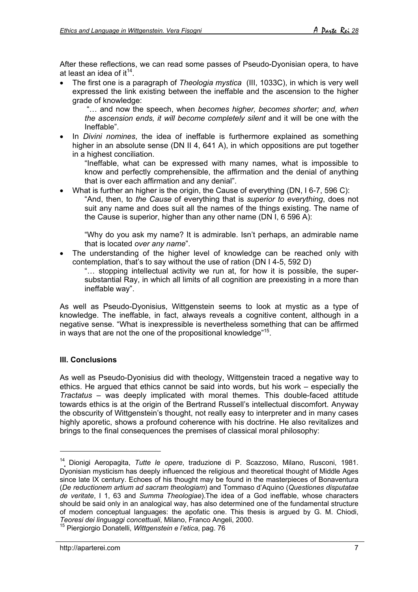After these reflections, we can read some passes of Pseudo-Dyonisian opera, to have at least an idea of it<sup>14</sup>.

• The first one is a paragraph of *Theologia mystica* (III, 1033C), in which is very well expressed the link existing between the ineffable and the ascension to the higher grade of knowledge:

"… and now the speech, when *becomes higher, becomes shorter; and, when the ascension ends, it will become completely silent* and it will be one with the Ineffable".

• In *Divini nomines*, the idea of ineffable is furthermore explained as something higher in an absolute sense (DN II 4, 641 A), in which oppositions are put together in a highest conciliation.

"Ineffable, what can be expressed with many names, what is impossible to know and perfectly comprehensible, the affirmation and the denial of anything that is over each affirmation and any denial".

• What is further an higher is the origin, the Cause of everything (DN, I 6-7, 596 C): "And, then, to *the Cause* of everything that is *superior to everything*, does not suit any name and does suit all the names of the things existing. The name of the Cause is superior, higher than any other name (DN I, 6 596 A):

"Why do you ask my name? It is admirable. Isn't perhaps, an admirable name that is located *over any name*".

The understanding of the higher level of knowledge can be reached only with contemplation, that's to say without the use of ration (DN I 4-5, 592 D)

"… stopping intellectual activity we run at, for how it is possible, the supersubstantial Ray, in which all limits of all cognition are preexisting in a more than ineffable way".

As well as Pseudo-Dyonisius, Wittgenstein seems to look at mystic as a type of knowledge. The ineffable, in fact, always reveals a cognitive content, although in a negative sense. "What is inexpressible is nevertheless something that can be affirmed in ways that are not the one of the propositional knowledge"15.

## **III. Conclusions**

l

As well as Pseudo-Dyonisius did with theology, Wittgenstein traced a negative way to ethics. He argued that ethics cannot be said into words, but his work – especially the *Tractatus* – was deeply implicated with moral themes. This double-faced attitude towards ethics is at the origin of the Bertrand Russell's intellectual discomfort. Anyway the obscurity of Wittgenstein's thought, not really easy to interpreter and in many cases highly aporetic, shows a profound coherence with his doctrine. He also revitalizes and brings to the final consequences the premises of classical moral philosophy:

<sup>14</sup> Dionigi Aeropagita, *Tutte le opere*, traduzione di P. Scazzoso, Milano, Rusconi, 1981. Dyonisian mysticism has deeply influenced the religious and theoretical thought of Middle Ages since late IX century. Echoes of his thought may be found in the masterpieces of Bonaventura (*De reductionem artium ad sacram theologiam*) and Tommaso d'Aquino (*Questiones disputatae de veritate*, I 1, 63 and *Summa Theologiae*).The idea of a God ineffable, whose characters should be said only in an analogical way, has also determined one of the fundamental structure of modern conceptual languages: the apofatic one. This thesis is argued by G. M. Chiodi, Teoresi dei linguaggi concettuali, Milano, Franco Angeli, 2000.

<sup>&</sup>lt;sup>15</sup> Piergiorgio Donatelli, *Wittgenstein e l'etica*, pag. 76